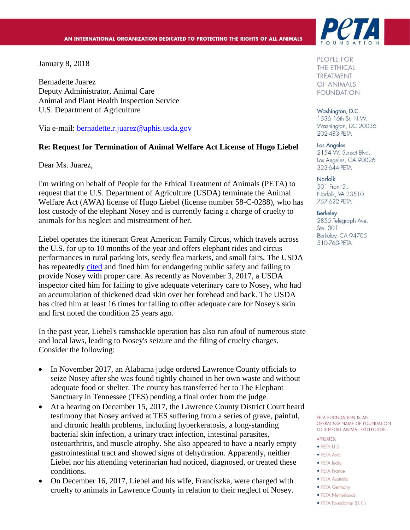January 8, 2018

Bernadette Juarez Deputy Administrator, Animal Care Animal and Plant Health Inspection Service U.S. Department of Agriculture

Via e-mail: [bernadette.r.juarez@aphis.usda.gov](mailto:bernadette.r.juarez@aphis.usda.gov)

#### **Re: Request for Termination of Animal Welfare Act License of Hugo Liebel**

Dear Ms. Juarez,

I'm writing on behalf of People for the Ethical Treatment of Animals (PETA) to request that the U.S. Department of Agriculture (USDA) terminate the Animal Welfare Act (AWA) license of Hugo Liebel (license number 58-C-0288), who has lost custody of the elephant Nosey and is currently facing a charge of cruelty to animals for his neglect and mistreatment of her.

Liebel operates the itinerant Great American Family Circus, which travels across the U.S. for up to 10 months of the year and offers elephant rides and circus performances in rural parking lots, seedy flea markets, and small fairs. The USDA has repeatedly [cited](https://www.peta.org/wp-content/uploads/2021/06/Liebel_Family_Circus_Factsheet.pdf) and fined him for endangering public safety and failing to provide Nosey with proper care. As recently as November 3, 2017, a USDA inspector cited him for failing to give adequate veterinary care to Nosey, who had an accumulation of thickened dead skin over her forehead and back. The USDA has cited him at least 16 times for failing to offer adequate care for Nosey's skin and first noted the condition 25 years ago.

In the past year, Liebel's ramshackle operation has also run afoul of numerous state and local laws, leading to Nosey's seizure and the filing of cruelty charges. Consider the following:

- In November 2017, an Alabama judge ordered Lawrence County officials to seize Nosey after she was found tightly chained in her own waste and without adequate food or shelter. The county has transferred her to The Elephant Sanctuary in Tennessee (TES) pending a final order from the judge.
- At a hearing on December 15, 2017, the Lawrence County District Court heard testimony that Nosey arrived at TES suffering from a series of grave, painful, and chronic health problems, including hyperkeratosis, a long-standing bacterial skin infection, a urinary tract infection, intestinal parasites, osteoarthritis, and muscle atrophy. She also appeared to have a nearly empty gastrointestinal tract and showed signs of dehydration. Apparently, neither Liebel nor his attending veterinarian had noticed, diagnosed, or treated these conditions.
- On December 16, 2017, Liebel and his wife, Franciszka, were charged with cruelty to animals in Lawrence County in relation to their neglect of Nosey.



PEOPLE FOR **THE ETHICAL TREATMENT** OF ANIMALS **FOUNDATION** 

Washington, D.C. 1536 16th St. N.W. Washington, DC 20036 202-483-PETA

Los Angeles

2154 W. Sunset Blvd. Los Angeles, CA 90026 323-644-PETA

Norfolk 501 Front St. Norfolk, VA 23510 757-622-PETA

#### **Berkeley**

2855 Telegraph Ave. Ste. 301 Berkeley, CA 94705 510-763-PETA

PETA FOUNDATION IS AN OPERATING NAME OF FOUNDATION TO SUPPORT ANIMAL PROTECTION.

**AFFILIATES:** 

- · PETA U.S.
- · PETA Asia
- · PETA India
- PETA France
- · PETA Australia
- PETA Germany • PETA Netherlands
- 
- PETA Foundation (U.K.)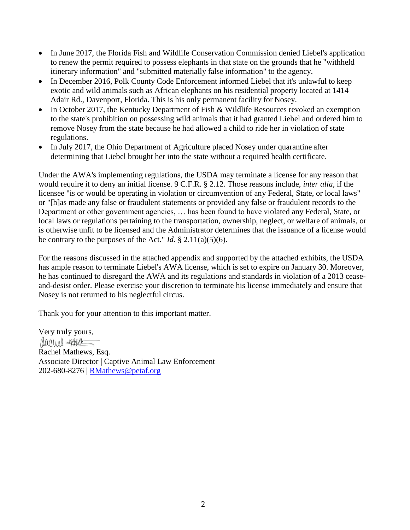- In June 2017, the Florida Fish and Wildlife Conservation Commission denied Liebel's application to renew the permit required to possess elephants in that state on the grounds that he "withheld itinerary information" and "submitted materially false information" to the agency.
- In December 2016, Polk County Code Enforcement informed Liebel that it's unlawful to keep exotic and wild animals such as African elephants on his residential property located at 1414 Adair Rd., Davenport, Florida. This is his only permanent facility for Nosey.
- In October 2017, the Kentucky Department of Fish & Wildlife Resources revoked an exemption to the state's prohibition on possessing wild animals that it had granted Liebel and ordered him to remove Nosey from the state because he had allowed a child to ride her in violation of state regulations.
- In July 2017, the Ohio Department of Agriculture placed Nosey under quarantine after determining that Liebel brought her into the state without a required health certificate.

Under the AWA's implementing regulations, the USDA may terminate a license for any reason that would require it to deny an initial license. 9 C.F.R. § 2.12. Those reasons include, *inter alia*, if the licensee "is or would be operating in violation or circumvention of any Federal, State, or local laws" or "[h]as made any false or fraudulent statements or provided any false or fraudulent records to the Department or other government agencies, … has been found to have violated any Federal, State, or local laws or regulations pertaining to the transportation, ownership, neglect, or welfare of animals, or is otherwise unfit to be licensed and the Administrator determines that the issuance of a license would be contrary to the purposes of the Act." *Id.*  $\S$  2.11(a)(5)(6).

For the reasons discussed in the attached appendix and supported by the attached exhibits, the USDA has ample reason to terminate Liebel's AWA license, which is set to expire on January 30. Moreover, he has continued to disregard the AWA and its regulations and standards in violation of a 2013 ceaseand-desist order. Please exercise your discretion to terminate his license immediately and ensure that Nosey is not returned to his neglectful circus.

Thank you for your attention to this important matter.

Very truly yours, rarel gara Rachel Mathews, Esq. Associate Director | Captive Animal Law Enforcement 202-680-8276 | [RMathews@petaf.org](mailto:RMathews@petaf.org)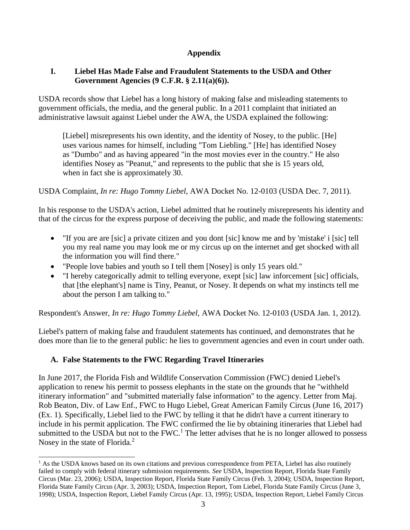## **Appendix**

#### **I. Liebel Has Made False and Fraudulent Statements to the USDA and Other Government Agencies (9 C.F.R. § 2.11(a)(6)).**

USDA records show that Liebel has a long history of making false and misleading statements to government officials, the media, and the general public. In a 2011 complaint that initiated an administrative lawsuit against Liebel under the AWA, the USDA explained the following:

[Liebel] misrepresents his own identity, and the identity of Nosey, to the public. [He] uses various names for himself, including "Tom Liebling." [He] has identified Nosey as "Dumbo" and as having appeared "in the most movies ever in the country." He also identifies Nosey as "Peanut," and represents to the public that she is 15 years old, when in fact she is approximately 30.

USDA Complaint, *In re: Hugo Tommy Liebel,* AWA Docket No. 12-0103 (USDA Dec. 7, 2011).

In his response to the USDA's action, Liebel admitted that he routinely misrepresents his identity and that of the circus for the express purpose of deceiving the public, and made the following statements:

- "If you are are [sic] a private citizen and you dont [sic] know me and by 'mistake' i [sic] tell you my real name you may look me or my circus up on the internet and get shocked with all the information you will find there."
- "People love babies and youth so I tell them [Nosey] is only 15 years old."
- "I hereby categorically admit to telling everyone, exept [sic] law inforcement [sic] officials, that [the elephant's] name is Tiny, Peanut, or Nosey. It depends on what my instincts tell me about the person I am talking to."

Respondent's Answer, *In re: Hugo Tommy Liebel,* AWA Docket No. 12-0103 (USDA Jan. 1, 2012).

Liebel's pattern of making false and fraudulent statements has continued, and demonstrates that he does more than lie to the general public: he lies to government agencies and even in court under oath.

## **A. False Statements to the FWC Regarding Travel Itineraries**

In June 2017, the Florida Fish and Wildlife Conservation Commission (FWC) denied Liebel's application to renew his permit to possess elephants in the state on the grounds that he "withheld itinerary information" and "submitted materially false information" to the agency. Letter from Maj. Rob Beaton, Div. of Law Enf., FWC to Hugo Liebel, Great American Family Circus (June 16, 2017) (Ex. 1). Specifically, Liebel lied to the FWC by telling it that he didn't have a current itinerary to include in his permit application. The FWC confirmed the lie by obtaining itineraries that Liebel had submitted to the USDA but not to the FWC.<sup>1</sup> The letter advises that he is no longer allowed to possess Nosey in the state of Florida.<sup>2</sup>

<sup>&</sup>lt;sup>1</sup> As the USDA knows based on its own citations and previous correspondence from PETA, Liebel has also routinely failed to comply with federal itinerary submission requirements. *See* USDA, Inspection Report, Florida State Family Circus (Mar. 23, 2006); USDA, Inspection Report, Florida State Family Circus (Feb. 3, 2004); USDA, Inspection Report, Florida State Family Circus (Apr. 3, 2003); USDA, Inspection Report, Tom Liebel, Florida State Family Circus (June 3, 1998); USDA, Inspection Report, Liebel Family Circus (Apr. 13, 1995); USDA, Inspection Report, Liebel Family Circus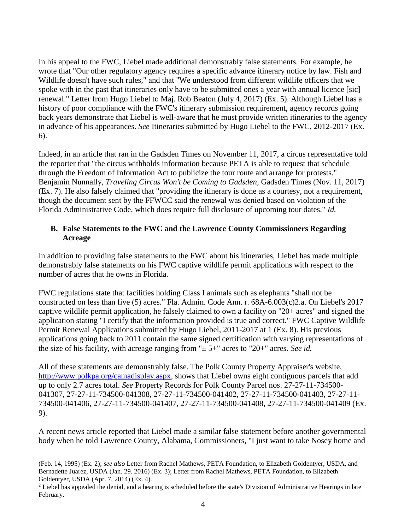In his appeal to the FWC, Liebel made additional demonstrably false statements. For example, he wrote that "Our other regulatory agency requires a specific advance itinerary notice by law. Fish and Wildlife doesn't have such rules," and that "We understood from different wildlife officers that we spoke with in the past that itineraries only have to be submitted ones a year with annual licence [sic] renewal." Letter from Hugo Liebel to Maj. Rob Beaton (July 4, 2017) (Ex. 5). Although Liebel has a history of poor compliance with the FWC's itinerary submission requirement, agency records going back years demonstrate that Liebel is well-aware that he must provide written itineraries to the agency in advance of his appearances. *See* Itineraries submitted by Hugo Liebel to the FWC, 2012-2017 (Ex. 6).

Indeed, in an article that ran in the Gadsden Times on November 11, 2017, a circus representative told the reporter that "the circus withholds information because PETA is able to request that schedule through the Freedom of Information Act to publicize the tour route and arrange for protests." Benjamin Nunnally, *Traveling Circus Won't be Coming to Gadsden*, Gadsden Times (Nov. 11, 2017) (Ex. 7). He also falsely claimed that "providing the itinerary is done as a courtesy, not a requirement, though the document sent by the FFWCC said the renewal was denied based on violation of the Florida Administrative Code, which does require full disclosure of upcoming tour dates." *Id.*

#### **B. False Statements to the FWC and the Lawrence County Commissioners Regarding Acreage**

In addition to providing false statements to the FWC about his itineraries, Liebel has made multiple demonstrably false statements on his FWC captive wildlife permit applications with respect to the number of acres that he owns in Florida.

FWC regulations state that facilities holding Class I animals such as elephants "shall not be constructed on less than five (5) acres." Fla. Admin. Code Ann. r. 68A-6.003(c)2.a. On Liebel's 2017 captive wildlife permit application, he falsely claimed to own a facility on "20+ acres" and signed the application stating "I certify that the information provided is true and correct." FWC Captive Wildlife Permit Renewal Applications submitted by Hugo Liebel, 2011-2017 at 1 (Ex. 8). His previous applications going back to 2011 contain the same signed certification with varying representations of the size of his facility, with acreage ranging from "± 5+" acres to "20+" acres. *See id.*

All of these statements are demonstrably false. The Polk County Property Appraiser's website, [http://www.polkpa.org/camadisplay.aspx,](http://www.polkpa.org/camadisplay.aspx) shows that Liebel owns eight contiguous parcels that add up to only 2.7 acres total. *See* Property Records for Polk County Parcel nos. 27-27-11-734500- 041307, 27-27-11-734500-041308, 27-27-11-734500-041402, 27-27-11-734500-041403, 27-27-11- 734500-041406, 27-27-11-734500-041407, 27-27-11-734500-041408, 27-27-11-734500-041409 (Ex. 9).

A recent news article reported that Liebel made a similar false statement before another governmental body when he told Lawrence County, Alabama, Commissioners, "I just want to take Nosey home and

<sup>(</sup>Feb. 14, 1995) (Ex. 2); *see also* Letter from Rachel Mathews, PETA Foundation, to Elizabeth Goldentyer, USDA, and Bernadette Juarez, USDA (Jan. 29. 2016) (Ex. 3); Letter from Rachel Mathews, PETA Foundation, to Elizabeth Goldentyer, USDA (Apr. 7, 2014) (Ex. 4).

 $2$  Liebel has appealed the denial, and a hearing is scheduled before the state's Division of Administrative Hearings in late February.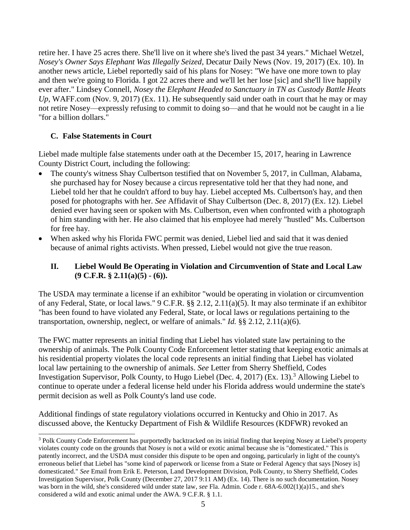retire her. I have 25 acres there. She'll live on it where she's lived the past 34 years." Michael Wetzel, *Nosey's Owner Says Elephant Was Illegally Seized*, Decatur Daily News (Nov. 19, 2017) (Ex. 10). In another news article, Liebel reportedly said of his plans for Nosey: "We have one more town to play and then we're going to Florida. I got 22 acres there and we'll let her lose [sic] and she'll live happily ever after." Lindsey Connell, *Nosey the Elephant Headed to Sanctuary in TN as Custody Battle Heats Up*, WAFF.com (Nov. 9, 2017) (Ex. 11). He subsequently said under oath in court that he may or may not retire Nosey—expressly refusing to commit to doing so—and that he would not be caught in a lie "for a billion dollars."

#### **C. False Statements in Court**

Liebel made multiple false statements under oath at the December 15, 2017, hearing in Lawrence County District Court, including the following:

- The county's witness Shay Culbertson testified that on November 5, 2017, in Cullman, Alabama, she purchased hay for Nosey because a circus representative told her that they had none, and Liebel told her that he couldn't afford to buy hay. Liebel accepted Ms. Culbertson's hay, and then posed for photographs with her. *See* Affidavit of Shay Culbertson (Dec. 8, 2017) (Ex. 12). Liebel denied ever having seen or spoken with Ms. Culbertson, even when confronted with a photograph of him standing with her. He also claimed that his employee had merely "hustled" Ms. Culbertson for free hay.
- When asked why his Florida FWC permit was denied, Liebel lied and said that it was denied because of animal rights activists. When pressed, Liebel would not give the true reason.

#### **II. Liebel Would Be Operating in Violation and Circumvention of State and Local Law (9 C.F.R. § 2.11(a)(5) - (6)).**

The USDA may terminate a license if an exhibitor "would be operating in violation or circumvention of any Federal, State, or local laws." 9 C.F.R. §§ 2.12, 2.11(a)(5). It may also terminate if an exhibitor "has been found to have violated any Federal, State, or local laws or regulations pertaining to the transportation, ownership, neglect, or welfare of animals." *Id.* §§ 2.12, 2.11(a)(6).

The FWC matter represents an initial finding that Liebel has violated state law pertaining to the ownership of animals. The Polk County Code Enforcement letter stating that keeping exotic animals at his residential property violates the local code represents an initial finding that Liebel has violated local law pertaining to the ownership of animals. *See* Letter from Sherry Sheffield, Codes Investigation Supervisor, Polk County, to Hugo Liebel (Dec. 4, 2017) (Ex. 13).<sup>3</sup> Allowing Liebel to continue to operate under a federal license held under his Florida address would undermine the state's permit decision as well as Polk County's land use code.

Additional findings of state regulatory violations occurred in Kentucky and Ohio in 2017. As discussed above, the Kentucky Department of Fish & Wildlife Resources (KDFWR) revoked an

<sup>&</sup>lt;sup>3</sup> Polk County Code Enforcement has purportedly backtracked on its initial finding that keeping Nosey at Liebel's property violates county code on the grounds that Nosey is not a wild or exotic animal because she is "domesticated." This is patently incorrect, and the USDA must consider this dispute to be open and ongoing, particularly in light of the county's erroneous belief that Liebel has "some kind of paperwork or license from a State or Federal Agency that says [Nosey is] domesticated." *See* Email from Erik E. Peterson, Land Development Division, Polk County, to Sherry Sheffield, Codes Investigation Supervisor, Polk County (December 27, 2017 9:11 AM) (Ex. 14). There is no such documentation. Nosey was born in the wild, she's considered wild under state law, *see* Fla. Admin. Code r. 68A-6.002(1)(a)15., and she's considered a wild and exotic animal under the AWA. 9 C.F.R. § 1.1.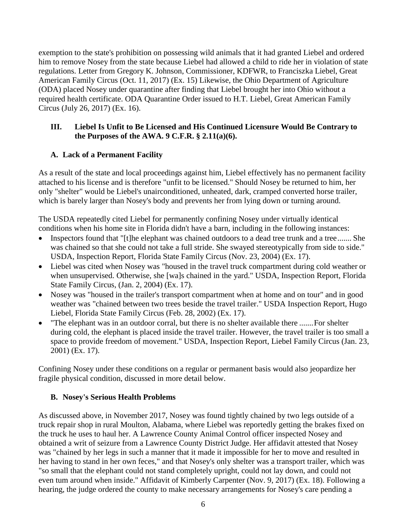exemption to the state's prohibition on possessing wild animals that it had granted Liebel and ordered him to remove Nosey from the state because Liebel had allowed a child to ride her in violation of state regulations. Letter from Gregory K. Johnson, Commissioner, KDFWR, to Franciszka Liebel, Great American Family Circus (Oct. 11, 2017) (Ex. 15) Likewise, the Ohio Department of Agriculture (ODA) placed Nosey under quarantine after finding that Liebel brought her into Ohio without a required health certificate. ODA Quarantine Order issued to H.T. Liebel, Great American Family Circus (July 26, 2017) (Ex. 16).

#### **III. Liebel Is Unfit to Be Licensed and His Continued Licensure Would Be Contrary to the Purposes of the AWA. 9 C.F.R. § 2.11(a)(6).**

## **A. Lack of a Permanent Facility**

As a result of the state and local proceedings against him, Liebel effectively has no permanent facility attached to his license and is therefore "unfit to be licensed." Should Nosey be returned to him, her only "shelter" would be Liebel's unairconditioned, unheated, dark, cramped converted horse trailer, which is barely larger than Nosey's body and prevents her from lying down or turning around.

The USDA repeatedly cited Liebel for permanently confining Nosey under virtually identical conditions when his home site in Florida didn't have a barn, including in the following instances:

- Inspectors found that "[t]he elephant was chained outdoors to a dead tree trunk and a tree....... She was chained so that she could not take a full stride. She swayed stereotypically from side to side." USDA, Inspection Report, Florida State Family Circus (Nov. 23, 2004) (Ex. 17).
- Liebel was cited when Nosey was "housed in the travel truck compartment during cold weather or when unsupervised. Otherwise, she [wa]s chained in the yard." USDA, Inspection Report, Florida State Family Circus, (Jan. 2, 2004) (Ex. 17).
- Nosey was "housed in the trailer's transport compartment when at home and on tour" and in good weather was "chained between two trees beside the travel trailer." USDA Inspection Report, Hugo Liebel, Florida State Family Circus (Feb. 28, 2002) (Ex. 17).
- "The elephant was in an outdoor corral, but there is no shelter available there .......For shelter during cold, the elephant is placed inside the travel trailer. However, the travel trailer is too small a space to provide freedom of movement." USDA, Inspection Report, Liebel Family Circus (Jan. 23, 2001) (Ex. 17).

Confining Nosey under these conditions on a regular or permanent basis would also jeopardize her fragile physical condition, discussed in more detail below.

#### **B. Nosey's Serious Health Problems**

As discussed above, in November 2017, Nosey was found tightly chained by two legs outside of a truck repair shop in rural Moulton, Alabama, where Liebel was reportedly getting the brakes fixed on the truck he uses to haul her. A Lawrence County Animal Control officer inspected Nosey and obtained a writ of seizure from a Lawrence County District Judge. Her affidavit attested that Nosey was "chained by her legs in such a manner that it made it impossible for her to move and resulted in her having to stand in her own feces," and that Nosey's only shelter was a transport trailer, which was "so small that the elephant could not stand completely upright, could not lay down, and could not even tum around when inside." Affidavit of Kimberly Carpenter (Nov. 9, 2017) (Ex. 18). Following a hearing, the judge ordered the county to make necessary arrangements for Nosey's care pending a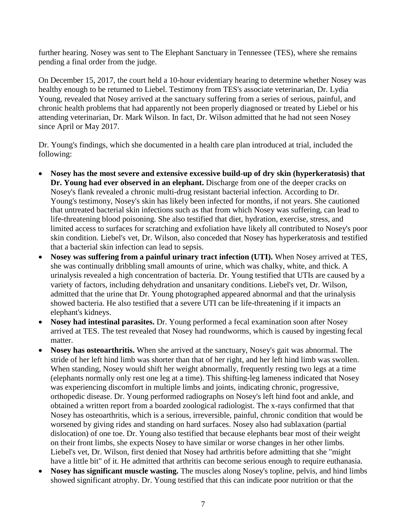further hearing. Nosey was sent to The Elephant Sanctuary in Tennessee (TES), where she remains pending a final order from the judge.

On December 15, 2017, the court held a 10-hour evidentiary hearing to determine whether Nosey was healthy enough to be returned to Liebel. Testimony from TES's associate veterinarian, Dr. Lydia Young, revealed that Nosey arrived at the sanctuary suffering from a series of serious, painful, and chronic health problems that had apparently not been properly diagnosed or treated by Liebel or his attending veterinarian, Dr. Mark Wilson. In fact, Dr. Wilson admitted that he had not seen Nosey since April or May 2017.

Dr. Young's findings, which she documented in a health care plan introduced at trial, included the following:

- **Nosey has the most severe and extensive excessive build-up of dry skin (hyperkeratosis) that Dr. Young had ever observed in an elephant.** Discharge from one of the deeper cracks on Nosey's flank revealed a chronic multi-drug resistant bacterial infection. According to Dr. Young's testimony, Nosey's skin has likely been infected for months, if not years. She cautioned that untreated bacterial skin infections such as that from which Nosey was suffering, can lead to life-threatening blood poisoning. She also testified that diet, hydration, exercise, stress, and limited access to surfaces for scratching and exfoliation have likely all contributed to Nosey's poor skin condition. Liebel's vet, Dr. Wilson, also conceded that Nosey has hyperkeratosis and testified that a bacterial skin infection can lead to sepsis.
- **Nosey was suffering from a painful urinary tract infection (UTI).** When Nosey arrived at TES, she was continually dribbling small amounts of urine, which was chalky, white, and thick. A urinalysis revealed a high concentration of bacteria. Dr. Young testified that UTIs are caused by a variety of factors, including dehydration and unsanitary conditions. Liebel's vet, Dr. Wilson, admitted that the urine that Dr. Young photographed appeared abnormal and that the urinalysis showed bacteria. He also testified that a severe UTI can be life-threatening if it impacts an elephant's kidneys.
- **Nosey had intestinal parasites.** Dr. Young performed a fecal examination soon after Nosey arrived at TES. The test revealed that Nosey had roundworms, which is caused by ingesting fecal matter.
- **Nosey has osteoarthritis.** When she arrived at the sanctuary, Nosey's gait was abnormal. The stride of her left hind limb was shorter than that of her right, and her left hind limb was swollen. When standing, Nosey would shift her weight abnormally, frequently resting two legs at a time (elephants normally only rest one leg at a time). This shifting-leg lameness indicated that Nosey was experiencing discomfort in multiple limbs and joints, indicating chronic, progressive, orthopedic disease. Dr. Young performed radiographs on Nosey's left hind foot and ankle, and obtained a written report from a boarded zoological radiologist. The x-rays confirmed that that Nosey has osteoarthritis, which is a serious, irreversible, painful, chronic condition that would be worsened by giving rides and standing on hard surfaces. Nosey also had sublaxation (partial dislocation) of one toe. Dr. Young also testified that because elephants bear most of their weight on their front limbs, she expects Nosey to have similar or worse changes in her other limbs. Liebel's vet, Dr. Wilson, first denied that Nosey had arthritis before admitting that she "might have a little bit" of it. He admitted that arthritis can become serious enough to require euthanasia.
- Nosey has significant muscle wasting. The muscles along Nosey's topline, pelvis, and hind limbs showed significant atrophy. Dr. Young testified that this can indicate poor nutrition or that the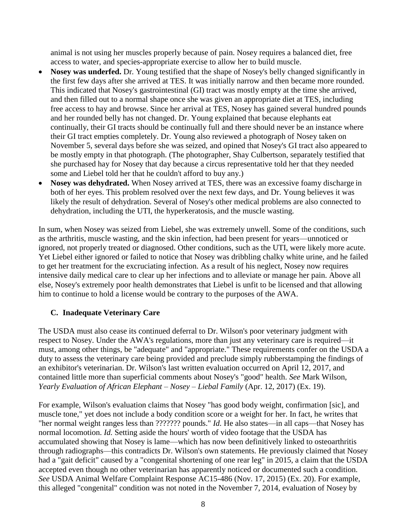animal is not using her muscles properly because of pain. Nosey requires a balanced diet, free access to water, and species-appropriate exercise to allow her to build muscle.

- **Nosey was underfed.** Dr. Young testified that the shape of Nosey's belly changed significantly in the first few days after she arrived at TES. It was initially narrow and then became more rounded. This indicated that Nosey's gastrointestinal (GI) tract was mostly empty at the time she arrived, and then filled out to a normal shape once she was given an appropriate diet at TES, including free access to hay and browse. Since her arrival at TES, Nosey has gained several hundred pounds and her rounded belly has not changed. Dr. Young explained that because elephants eat continually, their GI tracts should be continually full and there should never be an instance where their GI tract empties completely. Dr. Young also reviewed a photograph of Nosey taken on November 5, several days before she was seized, and opined that Nosey's GI tract also appeared to be mostly empty in that photograph. (The photographer, Shay Culbertson, separately testified that she purchased hay for Nosey that day because a circus representative told her that they needed some and Liebel told her that he couldn't afford to buy any.)
- **Nosey was dehydrated.** When Nosey arrived at TES, there was an excessive foamy discharge in both of her eyes. This problem resolved over the next few days, and Dr. Young believes it was likely the result of dehydration. Several of Nosey's other medical problems are also connected to dehydration, including the UTI, the hyperkeratosis, and the muscle wasting.

In sum, when Nosey was seized from Liebel, she was extremely unwell. Some of the conditions, such as the arthritis, muscle wasting, and the skin infection, had been present for years—unnoticed or ignored, not properly treated or diagnosed. Other conditions, such as the UTI, were likely more acute. Yet Liebel either ignored or failed to notice that Nosey was dribbling chalky white urine, and he failed to get her treatment for the excruciating infection. As a result of his neglect, Nosey now requires intensive daily medical care to clear up her infections and to alleviate or manage her pain. Above all else, Nosey's extremely poor health demonstrates that Liebel is unfit to be licensed and that allowing him to continue to hold a license would be contrary to the purposes of the AWA.

# **C. Inadequate Veterinary Care**

The USDA must also cease its continued deferral to Dr. Wilson's poor veterinary judgment with respect to Nosey. Under the AWA's regulations, more than just any veterinary care is required—it must, among other things, be "adequate" and "appropriate." These requirements confer on the USDA a duty to assess the veterinary care being provided and preclude simply rubberstamping the findings of an exhibitor's veterinarian. Dr. Wilson's last written evaluation occurred on April 12, 2017, and contained little more than superficial comments about Nosey's "good" health. *See* Mark Wilson, *Yearly Evaluation of African Elephant – Nosey – Liebal Family* (Apr. 12, 2017) (Ex. 19).

For example, Wilson's evaluation claims that Nosey "has good body weight, confirmation [sic], and muscle tone," yet does not include a body condition score or a weight for her. In fact, he writes that "her normal weight ranges less than ??????? pounds." *Id.* He also states—in all caps—that Nosey has normal locomotion. *Id.* Setting aside the hours' worth of video footage that the USDA has accumulated showing that Nosey is lame—which has now been definitively linked to osteoarthritis through radiographs—this contradicts Dr. Wilson's own statements*.* He previously claimed that Nosey had a "gait deficit" caused by a "congenital shortening of one rear leg" in 2015, a claim that the USDA accepted even though no other veterinarian has apparently noticed or documented such a condition. *See* USDA Animal Welfare Complaint Response AC15-486 (Nov. 17, 2015) (Ex. 20). For example, this alleged "congenital" condition was not noted in the November 7, 2014, evaluation of Nosey by